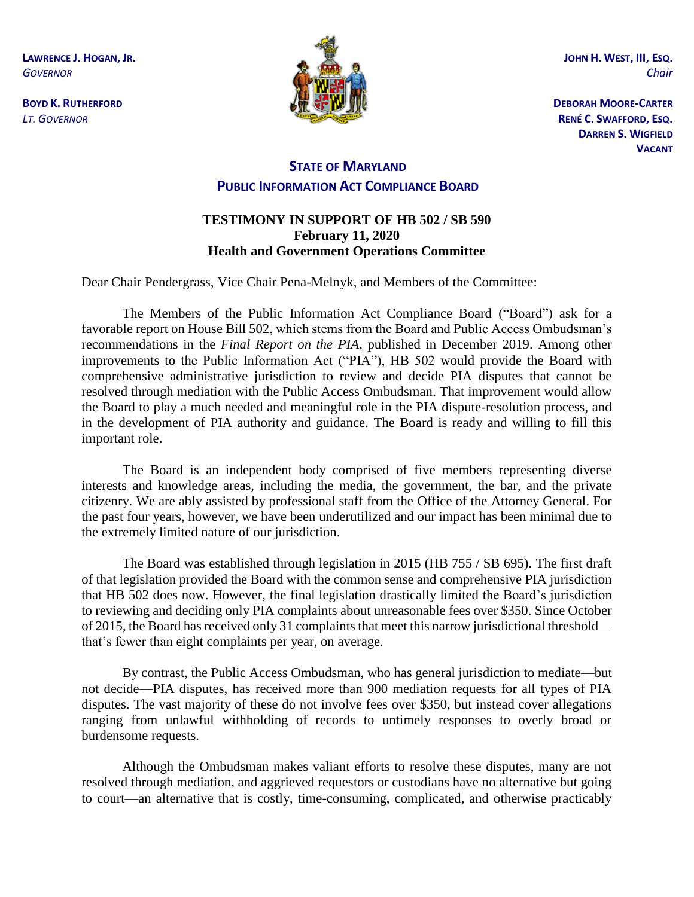**LAWRENCE J. HOGAN, JR.** *GOVERNOR*

**BOYD K. RUTHERFORD** *LT. GOVERNOR*



**JOHN H. WEST, III, ESQ.** *Chair*

**DEBORAH MOORE-CARTER RENÉ C. SWAFFORD, ESQ. DARREN S. WIGFIELD VACANT**

## **STATE OF MARYLAND PUBLIC INFORMATION ACT COMPLIANCE BOARD**

## **TESTIMONY IN SUPPORT OF HB 502 / SB 590 February 11, 2020 Health and Government Operations Committee**

Dear Chair Pendergrass, Vice Chair Pena-Melnyk, and Members of the Committee:

The Members of the Public Information Act Compliance Board ("Board") ask for a favorable report on House Bill 502, which stems from the Board and Public Access Ombudsman's recommendations in the *Final Report on the PIA*, published in December 2019. Among other improvements to the Public Information Act ("PIA"), HB 502 would provide the Board with comprehensive administrative jurisdiction to review and decide PIA disputes that cannot be resolved through mediation with the Public Access Ombudsman. That improvement would allow the Board to play a much needed and meaningful role in the PIA dispute-resolution process, and in the development of PIA authority and guidance. The Board is ready and willing to fill this important role.

The Board is an independent body comprised of five members representing diverse interests and knowledge areas, including the media, the government, the bar, and the private citizenry. We are ably assisted by professional staff from the Office of the Attorney General. For the past four years, however, we have been underutilized and our impact has been minimal due to the extremely limited nature of our jurisdiction.

The Board was established through legislation in 2015 (HB 755 / SB 695). The first draft of that legislation provided the Board with the common sense and comprehensive PIA jurisdiction that HB 502 does now. However, the final legislation drastically limited the Board's jurisdiction to reviewing and deciding only PIA complaints about unreasonable fees over \$350. Since October of 2015, the Board has received only 31 complaints that meet this narrow jurisdictional threshold that's fewer than eight complaints per year, on average.

By contrast, the Public Access Ombudsman, who has general jurisdiction to mediate—but not decide—PIA disputes, has received more than 900 mediation requests for all types of PIA disputes. The vast majority of these do not involve fees over \$350, but instead cover allegations ranging from unlawful withholding of records to untimely responses to overly broad or burdensome requests.

Although the Ombudsman makes valiant efforts to resolve these disputes, many are not resolved through mediation, and aggrieved requestors or custodians have no alternative but going to court—an alternative that is costly, time-consuming, complicated, and otherwise practicably